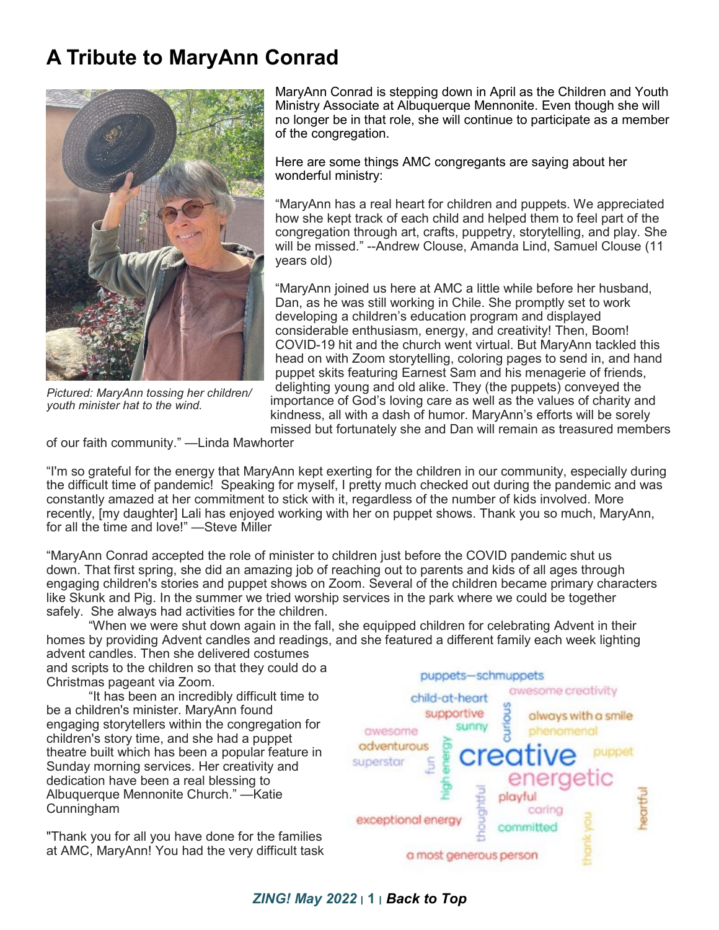## **A Tribute to MaryAnn Conrad**



*Pictured: MaryAnn tossing her children/ youth minister hat to the wind.*

MaryAnn Conrad is stepping down in April as the Children and Youth Ministry Associate at Albuquerque Mennonite. Even though she will no longer be in that role, she will continue to participate as a member of the congregation.

Here are some things AMC congregants are saying about her wonderful ministry:

"MaryAnn has a real heart for children and puppets. We appreciated how she kept track of each child and helped them to feel part of the congregation through art, crafts, puppetry, storytelling, and play. She will be missed." --Andrew Clouse, Amanda Lind, Samuel Clouse (11 years old)

"MaryAnn joined us here at AMC a little while before her husband, Dan, as he was still working in Chile. She promptly set to work developing a children's education program and displayed considerable enthusiasm, energy, and creativity! Then, Boom! COVID-19 hit and the church went virtual. But MaryAnn tackled this head on with Zoom storytelling, coloring pages to send in, and hand puppet skits featuring Earnest Sam and his menagerie of friends, delighting young and old alike. They (the puppets) conveyed the importance of God's loving care as well as the values of charity and kindness, all with a dash of humor. MaryAnn's efforts will be sorely missed but fortunately she and Dan will remain as treasured members

of our faith community." —Linda Mawhorter

"I'm so grateful for the energy that MaryAnn kept exerting for the children in our community, especially during the difficult time of pandemic! Speaking for myself, I pretty much checked out during the pandemic and was constantly amazed at her commitment to stick with it, regardless of the number of kids involved. More recently, [my daughter] Lali has enjoyed working with her on puppet shows. Thank you so much, MaryAnn, for all the time and love!" —Steve Miller

"MaryAnn Conrad accepted the role of minister to children just before the COVID pandemic shut us down. That first spring, she did an amazing job of reaching out to parents and kids of all ages through engaging children's stories and puppet shows on Zoom. Several of the children became primary characters like Skunk and Pig. In the summer we tried worship services in the park where we could be together safely. She always had activities for the children.

"When we were shut down again in the fall, she equipped children for celebrating Advent in their homes by providing Advent candles and readings, and she featured a different family each week lighting advent candles. Then she delivered costumes

and scripts to the children so that they could do a Christmas pageant via Zoom.

"It has been an incredibly difficult time to be a children's minister. MaryAnn found engaging storytellers within the congregation for children's story time, and she had a puppet theatre built which has been a popular feature in Sunday morning services. Her creativity and dedication have been a real blessing to Albuquerque Mennonite Church." —Katie Cunningham

"Thank you for all you have done for the families at AMC, MaryAnn! You had the very difficult task